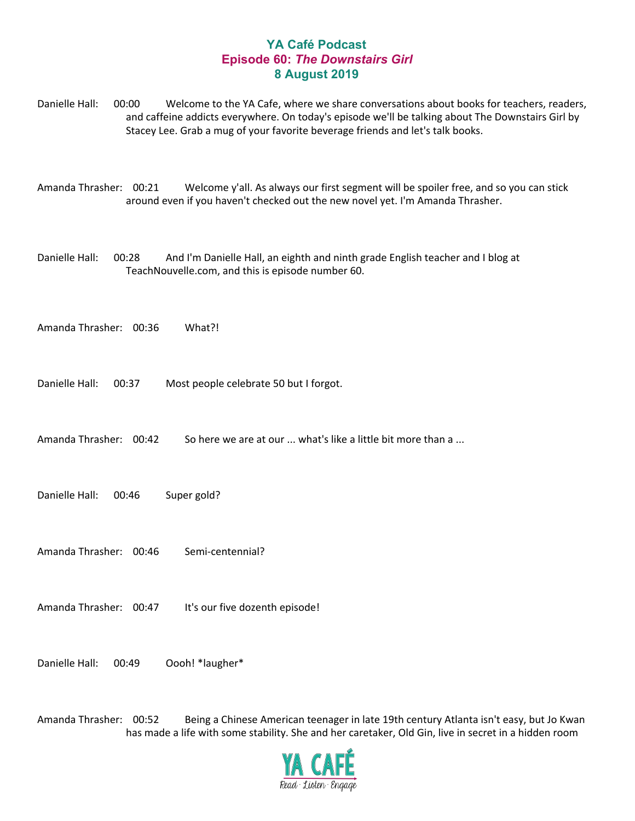## **YA Café Podcast Episode 60:** *The Downstairs Girl* **8 August 2019**

Danielle Hall: 00:00 Welcome to the YA Cafe, where we share conversations about books for teachers, readers, and caffeine addicts everywhere. On today's episode we'll be talking about The Downstairs Girl by Stacey Lee. Grab a mug of your favorite beverage friends and let's talk books.

Amanda Thrasher: 00:21 Welcome y'all. As always our first segment will be spoiler free, and so you can stick around even if you haven't checked out the new novel yet. I'm Amanda Thrasher.

Danielle Hall: 00:28 And I'm Danielle Hall, an eighth and ninth grade English teacher and I blog at TeachNouvelle.com, and this is episode number 60.

Amanda Thrasher: 00:36 What?!

Danielle Hall: 00:37 Most people celebrate 50 but I forgot.

Amanda Thrasher: 00:42 So here we are at our ... what's like a little bit more than a ...

Danielle Hall: 00:46 Super gold?

Amanda Thrasher: 00:46 Semi-centennial?

Amanda Thrasher: 00:47 It's our five dozenth episode!

Danielle Hall: 00:49 Oooh! \*laugher\*

Amanda Thrasher: 00:52 Being a Chinese American teenager in late 19th century Atlanta isn't easy, but Jo Kwan has made a life with some stability. She and her caretaker, Old Gin, live in secret in a hidden room

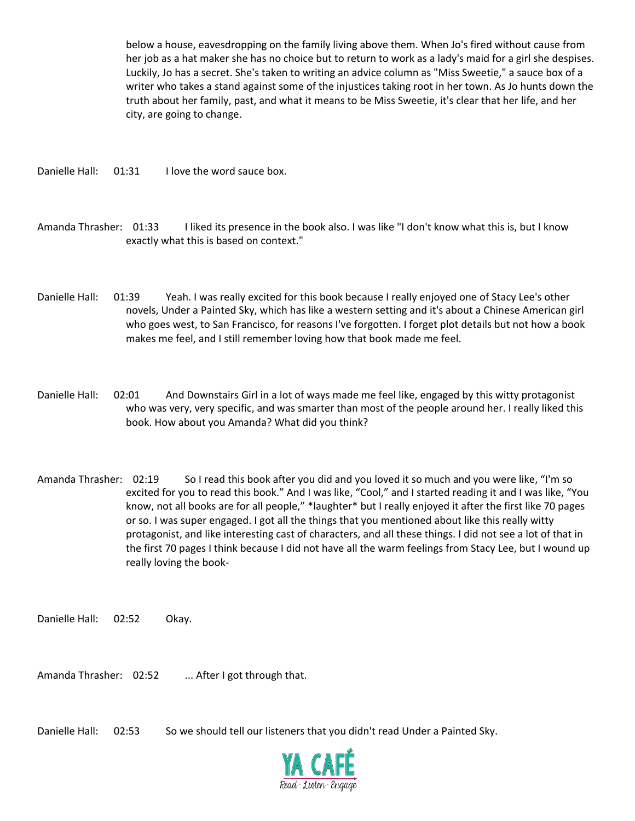below a house, eavesdropping on the family living above them. When Jo's fired without cause from her job as a hat maker she has no choice but to return to work as a lady's maid for a girl she despises. Luckily, Jo has a secret. She's taken to writing an advice column as "Miss Sweetie," a sauce box of a writer who takes a stand against some of the injustices taking root in her town. As Jo hunts down the truth about her family, past, and what it means to be Miss Sweetie, it's clear that her life, and her city, are going to change.

Danielle Hall: 01:31 I love the word sauce box.

Amanda Thrasher: 01:33 I liked its presence in the book also. I was like "I don't know what this is, but I know exactly what this is based on context."

- Danielle Hall: 01:39 Yeah. I was really excited for this book because I really enjoyed one of Stacy Lee's other novels, Under a Painted Sky, which has like a western setting and it's about a Chinese American girl who goes west, to San Francisco, for reasons I've forgotten. I forget plot details but not how a book makes me feel, and I still remember loving how that book made me feel.
- Danielle Hall: 02:01 And Downstairs Girl in a lot of ways made me feel like, engaged by this witty protagonist who was very, very specific, and was smarter than most of the people around her. I really liked this book. How about you Amanda? What did you think?
- Amanda Thrasher: 02:19 So I read this book after you did and you loved it so much and you were like, "I'm so excited for you to read this book." And I was like, "Cool," and I started reading it and I was like, "You know, not all books are for all people," \*laughter\* but I really enjoyed it after the first like 70 pages or so. I was super engaged. I got all the things that you mentioned about like this really witty protagonist, and like interesting cast of characters, and all these things. I did not see a lot of that in the first 70 pages I think because I did not have all the warm feelings from Stacy Lee, but I wound up really loving the book-

Danielle Hall: 02:52 Okay.

Amanda Thrasher: 02:52 ... After I got through that.

Danielle Hall: 02:53 So we should tell our listeners that you didn't read Under a Painted Sky.

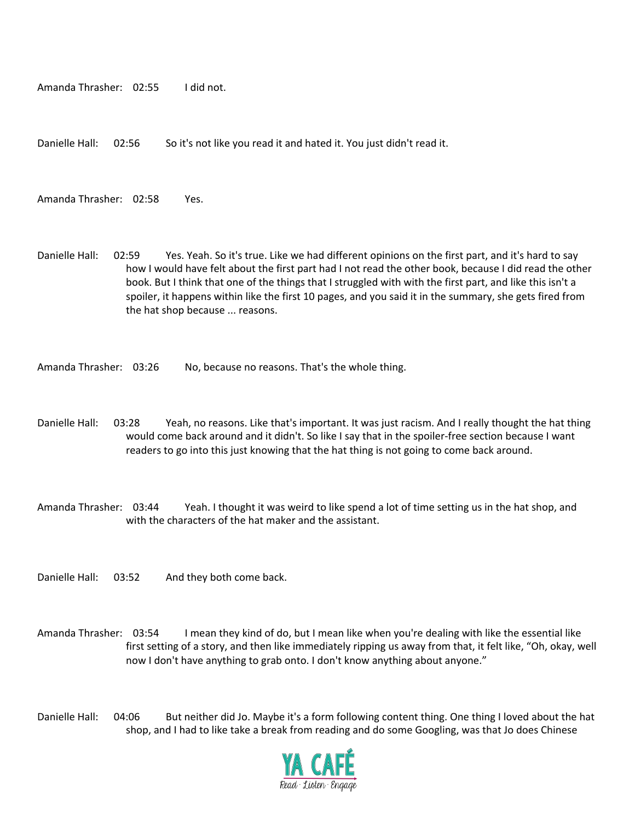Amanda Thrasher: 02:55 I did not.

Danielle Hall: 02:56 So it's not like you read it and hated it. You just didn't read it.

Amanda Thrasher: 02:58 Yes.

Danielle Hall: 02:59 Yes. Yeah. So it's true. Like we had different opinions on the first part, and it's hard to say how I would have felt about the first part had I not read the other book, because I did read the other book. But I think that one of the things that I struggled with with the first part, and like this isn't a spoiler, it happens within like the first 10 pages, and you said it in the summary, she gets fired from the hat shop because ... reasons.

Amanda Thrasher: 03:26 No, because no reasons. That's the whole thing.

- Danielle Hall: 03:28 Yeah, no reasons. Like that's important. It was just racism. And I really thought the hat thing would come back around and it didn't. So like I say that in the spoiler-free section because I want readers to go into this just knowing that the hat thing is not going to come back around.
- Amanda Thrasher: 03:44 Yeah. I thought it was weird to like spend a lot of time setting us in the hat shop, and with the characters of the hat maker and the assistant.
- Danielle Hall: 03:52 And they both come back.
- Amanda Thrasher: 03:54 I mean they kind of do, but I mean like when you're dealing with like the essential like first setting of a story, and then like immediately ripping us away from that, it felt like, "Oh, okay, well now I don't have anything to grab onto. I don't know anything about anyone."

Danielle Hall: 04:06 But neither did Jo. Maybe it's a form following content thing. One thing I loved about the hat shop, and I had to like take a break from reading and do some Googling, was that Jo does Chinese

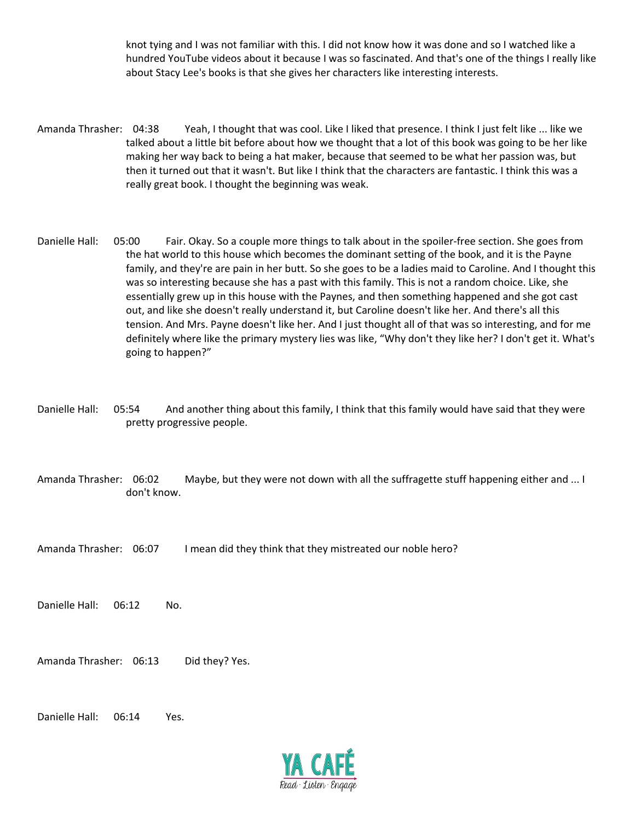knot tying and I was not familiar with this. I did not know how it was done and so I watched like a hundred YouTube videos about it because I was so fascinated. And that's one of the things I really like about Stacy Lee's books is that she gives her characters like interesting interests.

- Amanda Thrasher: 04:38 Yeah, I thought that was cool. Like I liked that presence. I think I just felt like ... like we talked about a little bit before about how we thought that a lot of this book was going to be her like making her way back to being a hat maker, because that seemed to be what her passion was, but then it turned out that it wasn't. But like I think that the characters are fantastic. I think this was a really great book. I thought the beginning was weak.
- Danielle Hall: 05:00 Fair. Okay. So a couple more things to talk about in the spoiler-free section. She goes from the hat world to this house which becomes the dominant setting of the book, and it is the Payne family, and they're are pain in her butt. So she goes to be a ladies maid to Caroline. And I thought this was so interesting because she has a past with this family. This is not a random choice. Like, she essentially grew up in this house with the Paynes, and then something happened and she got cast out, and like she doesn't really understand it, but Caroline doesn't like her. And there's all this tension. And Mrs. Payne doesn't like her. And I just thought all of that was so interesting, and for me definitely where like the primary mystery lies was like, "Why don't they like her? I don't get it. What's going to happen?"
- Danielle Hall: 05:54 And another thing about this family, I think that this family would have said that they were pretty progressive people.
- Amanda Thrasher: 06:02 Maybe, but they were not down with all the suffragette stuff happening either and ... I don't know.
- Amanda Thrasher: 06:07 I mean did they think that they mistreated our noble hero?

Danielle Hall: 06:12 No.

Amanda Thrasher: 06:13 Did they? Yes.

Danielle Hall: 06:14 Yes.

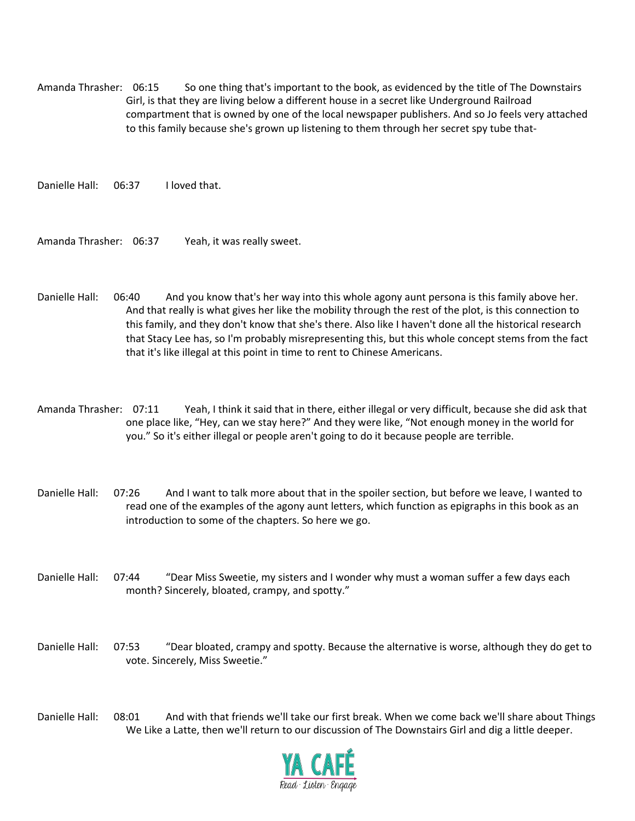Amanda Thrasher: 06:15 So one thing that's important to the book, as evidenced by the title of The Downstairs Girl, is that they are living below a different house in a secret like Underground Railroad compartment that is owned by one of the local newspaper publishers. And so Jo feels very attached to this family because she's grown up listening to them through her secret spy tube that-

Danielle Hall: 06:37 I loved that.

Amanda Thrasher: 06:37 Yeah, it was really sweet.

- Danielle Hall: 06:40 And you know that's her way into this whole agony aunt persona is this family above her. And that really is what gives her like the mobility through the rest of the plot, is this connection to this family, and they don't know that she's there. Also like I haven't done all the historical research that Stacy Lee has, so I'm probably misrepresenting this, but this whole concept stems from the fact that it's like illegal at this point in time to rent to Chinese Americans.
- Amanda Thrasher: 07:11 Yeah, I think it said that in there, either illegal or very difficult, because she did ask that one place like, "Hey, can we stay here?" And they were like, "Not enough money in the world for you." So it's either illegal or people aren't going to do it because people are terrible.
- Danielle Hall: 07:26 And I want to talk more about that in the spoiler section, but before we leave, I wanted to read one of the examples of the agony aunt letters, which function as epigraphs in this book as an introduction to some of the chapters. So here we go.
- Danielle Hall: 07:44 "Dear Miss Sweetie, my sisters and I wonder why must a woman suffer a few days each month? Sincerely, bloated, crampy, and spotty."
- Danielle Hall: 07:53 "Dear bloated, crampy and spotty. Because the alternative is worse, although they do get to vote. Sincerely, Miss Sweetie."
- Danielle Hall: 08:01 And with that friends we'll take our first break. When we come back we'll share about Things We Like a Latte, then we'll return to our discussion of The Downstairs Girl and dig a little deeper.

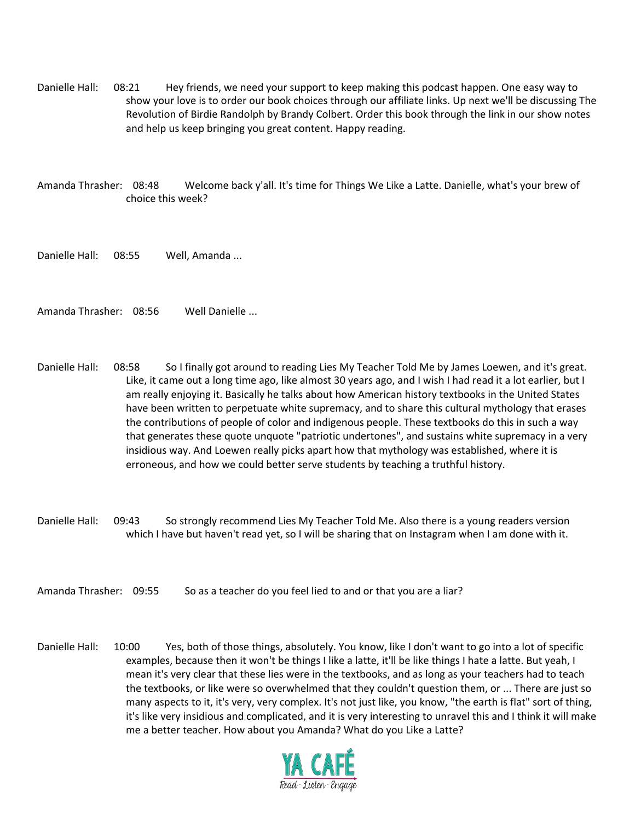Danielle Hall: 08:21 Hey friends, we need your support to keep making this podcast happen. One easy way to show your love is to order our book choices through our affiliate links. Up next we'll be discussing The Revolution of Birdie Randolph by Brandy Colbert. Order this book through the link in our show notes and help us keep bringing you great content. Happy reading.

Amanda Thrasher: 08:48 Welcome back y'all. It's time for Things We Like a Latte. Danielle, what's your brew of choice this week?

Danielle Hall: 08:55 Well, Amanda ...

Amanda Thrasher: 08:56 Well Danielle ...

- Danielle Hall: 08:58 So I finally got around to reading Lies My Teacher Told Me by James Loewen, and it's great. Like, it came out a long time ago, like almost 30 years ago, and I wish I had read it a lot earlier, but I am really enjoying it. Basically he talks about how American history textbooks in the United States have been written to perpetuate white supremacy, and to share this cultural mythology that erases the contributions of people of color and indigenous people. These textbooks do this in such a way that generates these quote unquote "patriotic undertones", and sustains white supremacy in a very insidious way. And Loewen really picks apart how that mythology was established, where it is erroneous, and how we could better serve students by teaching a truthful history.
- Danielle Hall: 09:43 So strongly recommend Lies My Teacher Told Me. Also there is a young readers version which I have but haven't read yet, so I will be sharing that on Instagram when I am done with it.
- Amanda Thrasher: 09:55 So as a teacher do you feel lied to and or that you are a liar?
- Danielle Hall: 10:00 Yes, both of those things, absolutely. You know, like I don't want to go into a lot of specific examples, because then it won't be things I like a latte, it'll be like things I hate a latte. But yeah, I mean it's very clear that these lies were in the textbooks, and as long as your teachers had to teach the textbooks, or like were so overwhelmed that they couldn't question them, or ... There are just so many aspects to it, it's very, very complex. It's not just like, you know, "the earth is flat" sort of thing, it's like very insidious and complicated, and it is very interesting to unravel this and I think it will make me a better teacher. How about you Amanda? What do you Like a Latte?

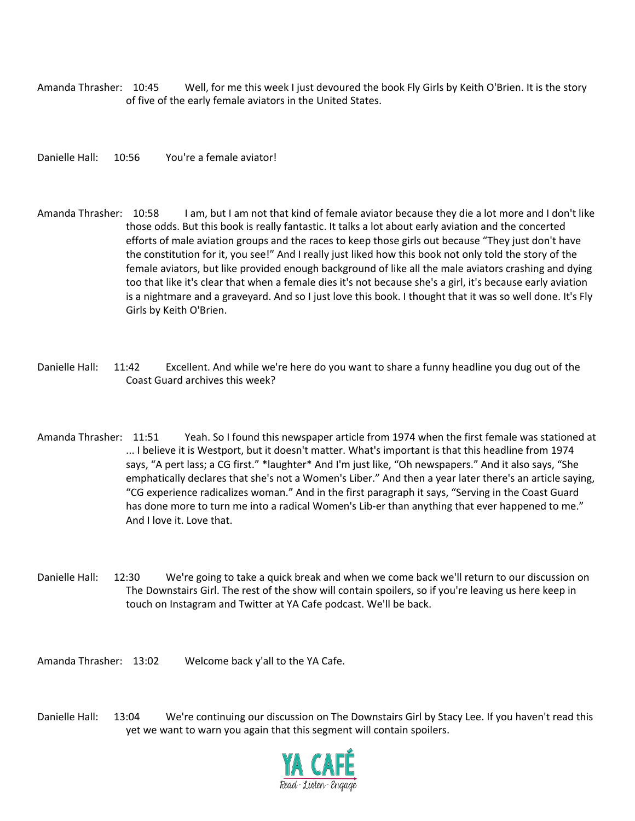Amanda Thrasher: 10:45 Well, for me this week I just devoured the book Fly Girls by Keith O'Brien. It is the story of five of the early female aviators in the United States.

Danielle Hall: 10:56 You're a female aviator!

- Amanda Thrasher: 10:58 I am, but I am not that kind of female aviator because they die a lot more and I don't like those odds. But this book is really fantastic. It talks a lot about early aviation and the concerted efforts of male aviation groups and the races to keep those girls out because "They just don't have the constitution for it, you see!" And I really just liked how this book not only told the story of the female aviators, but like provided enough background of like all the male aviators crashing and dying too that like it's clear that when a female dies it's not because she's a girl, it's because early aviation is a nightmare and a graveyard. And so I just love this book. I thought that it was so well done. It's Fly Girls by Keith O'Brien.
- Danielle Hall: 11:42 Excellent. And while we're here do you want to share a funny headline you dug out of the Coast Guard archives this week?
- Amanda Thrasher: 11:51 Yeah. So I found this newspaper article from 1974 when the first female was stationed at ... I believe it is Westport, but it doesn't matter. What's important is that this headline from 1974 says, "A pert lass; a CG first." \*laughter\* And I'm just like, "Oh newspapers." And it also says, "She emphatically declares that she's not a Women's Liber." And then a year later there's an article saying, "CG experience radicalizes woman." And in the first paragraph it says, "Serving in the Coast Guard has done more to turn me into a radical Women's Lib-er than anything that ever happened to me." And I love it. Love that.
- Danielle Hall: 12:30 We're going to take a quick break and when we come back we'll return to our discussion on The Downstairs Girl. The rest of the show will contain spoilers, so if you're leaving us here keep in touch on Instagram and Twitter at YA Cafe podcast. We'll be back.

Amanda Thrasher: 13:02 Welcome back y'all to the YA Cafe.

Danielle Hall: 13:04 We're continuing our discussion on The Downstairs Girl by Stacy Lee. If you haven't read this yet we want to warn you again that this segment will contain spoilers.

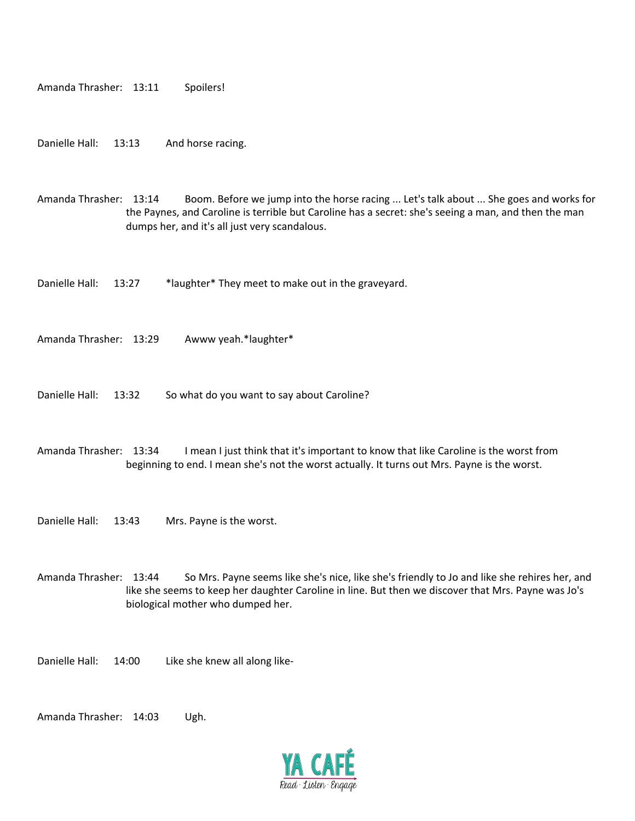```
Amanda Thrasher: 13:11 Spoilers!
```
Danielle Hall: 13:13 And horse racing.

Amanda Thrasher: 13:14 Boom. Before we jump into the horse racing ... Let's talk about ... She goes and works for the Paynes, and Caroline is terrible but Caroline has a secret: she's seeing a man, and then the man dumps her, and it's all just very scandalous.

Danielle Hall: 13:27 \*laughter\* They meet to make out in the graveyard.

Amanda Thrasher: 13:29 Awww yeah.\*laughter\*

Danielle Hall: 13:32 So what do you want to say about Caroline?

Amanda Thrasher: 13:34 I mean I just think that it's important to know that like Caroline is the worst from beginning to end. I mean she's not the worst actually. It turns out Mrs. Payne is the worst.

Danielle Hall: 13:43 Mrs. Payne is the worst.

Amanda Thrasher: 13:44 So Mrs. Payne seems like she's nice, like she's friendly to Jo and like she rehires her, and like she seems to keep her daughter Caroline in line. But then we discover that Mrs. Payne was Jo's biological mother who dumped her.

Danielle Hall: 14:00 Like she knew all along like-

Amanda Thrasher: 14:03 Ugh.

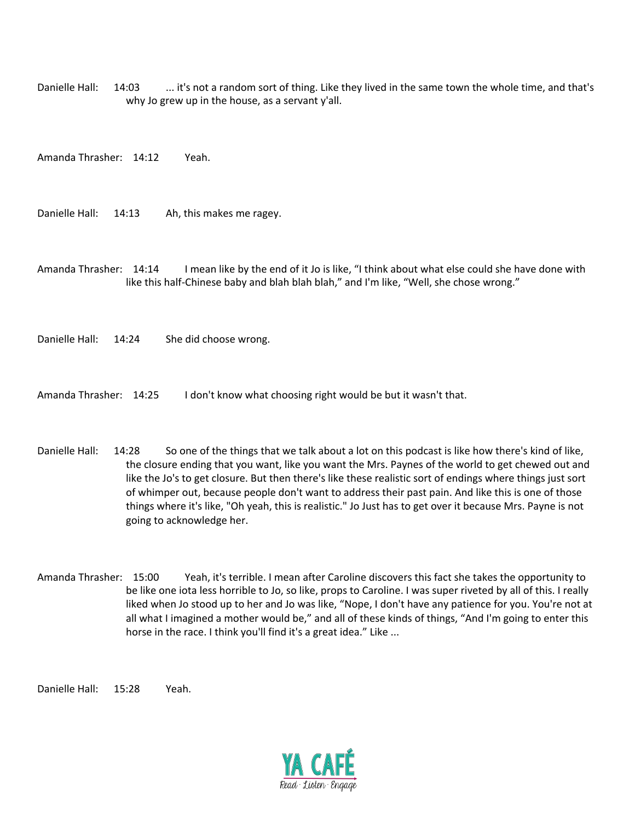Danielle Hall: 14:03 ... it's not a random sort of thing. Like they lived in the same town the whole time, and that's why Jo grew up in the house, as a servant y'all.

Amanda Thrasher: 14:12 Yeah.

Danielle Hall: 14:13 Ah, this makes me ragey.

Amanda Thrasher: 14:14 I mean like by the end of it Jo is like, "I think about what else could she have done with like this half-Chinese baby and blah blah blah," and I'm like, "Well, she chose wrong."

Danielle Hall: 14:24 She did choose wrong.

Amanda Thrasher: 14:25 I don't know what choosing right would be but it wasn't that.

- Danielle Hall: 14:28 So one of the things that we talk about a lot on this podcast is like how there's kind of like, the closure ending that you want, like you want the Mrs. Paynes of the world to get chewed out and like the Jo's to get closure. But then there's like these realistic sort of endings where things just sort of whimper out, because people don't want to address their past pain. And like this is one of those things where it's like, "Oh yeah, this is realistic." Jo Just has to get over it because Mrs. Payne is not going to acknowledge her.
- Amanda Thrasher: 15:00 Yeah, it's terrible. I mean after Caroline discovers this fact she takes the opportunity to be like one iota less horrible to Jo, so like, props to Caroline. I was super riveted by all of this. I really liked when Jo stood up to her and Jo was like, "Nope, I don't have any patience for you. You're not at all what I imagined a mother would be," and all of these kinds of things, "And I'm going to enter this horse in the race. I think you'll find it's a great idea." Like ...

Danielle Hall: 15:28 Yeah.

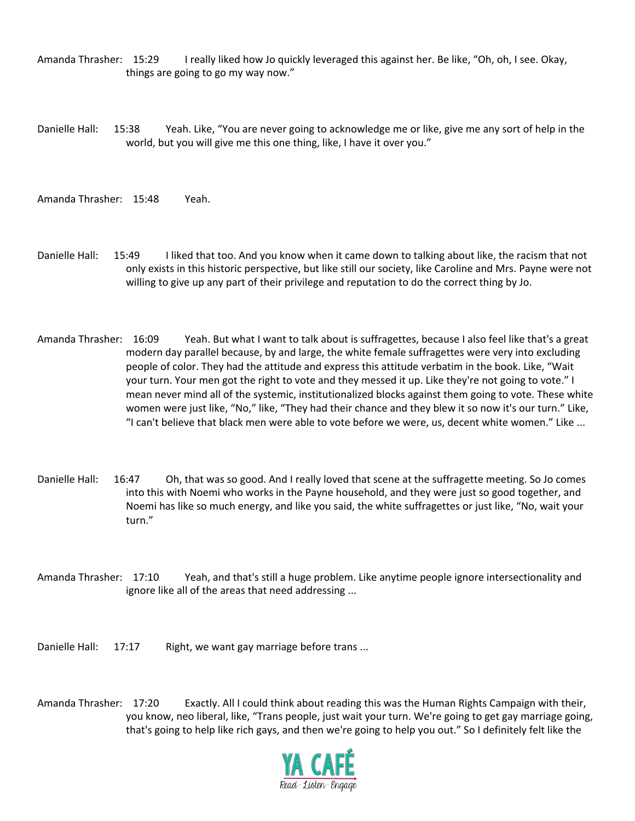Amanda Thrasher: 15:29 I really liked how Jo quickly leveraged this against her. Be like, "Oh, oh, I see. Okay, things are going to go my way now."

Danielle Hall: 15:38 Yeah. Like, "You are never going to acknowledge me or like, give me any sort of help in the world, but you will give me this one thing, like, I have it over you."

Amanda Thrasher: 15:48 Yeah.

- Danielle Hall: 15:49 I liked that too. And you know when it came down to talking about like, the racism that not only exists in this historic perspective, but like still our society, like Caroline and Mrs. Payne were not willing to give up any part of their privilege and reputation to do the correct thing by Jo.
- Amanda Thrasher: 16:09 Yeah. But what I want to talk about is suffragettes, because I also feel like that's a great modern day parallel because, by and large, the white female suffragettes were very into excluding people of color. They had the attitude and express this attitude verbatim in the book. Like, "Wait your turn. Your men got the right to vote and they messed it up. Like they're not going to vote." I mean never mind all of the systemic, institutionalized blocks against them going to vote. These white women were just like, "No," like, "They had their chance and they blew it so now it's our turn." Like, "I can't believe that black men were able to vote before we were, us, decent white women." Like ...
- Danielle Hall: 16:47 Oh, that was so good. And I really loved that scene at the suffragette meeting. So Jo comes into this with Noemi who works in the Payne household, and they were just so good together, and Noemi has like so much energy, and like you said, the white suffragettes or just like, "No, wait your turn."
- Amanda Thrasher: 17:10 Yeah, and that's still a huge problem. Like anytime people ignore intersectionality and ignore like all of the areas that need addressing ...

Danielle Hall: 17:17 Right, we want gay marriage before trans ...

Amanda Thrasher: 17:20 Exactly. All I could think about reading this was the Human Rights Campaign with their, you know, neo liberal, like, "Trans people, just wait your turn. We're going to get gay marriage going, that's going to help like rich gays, and then we're going to help you out." So I definitely felt like the

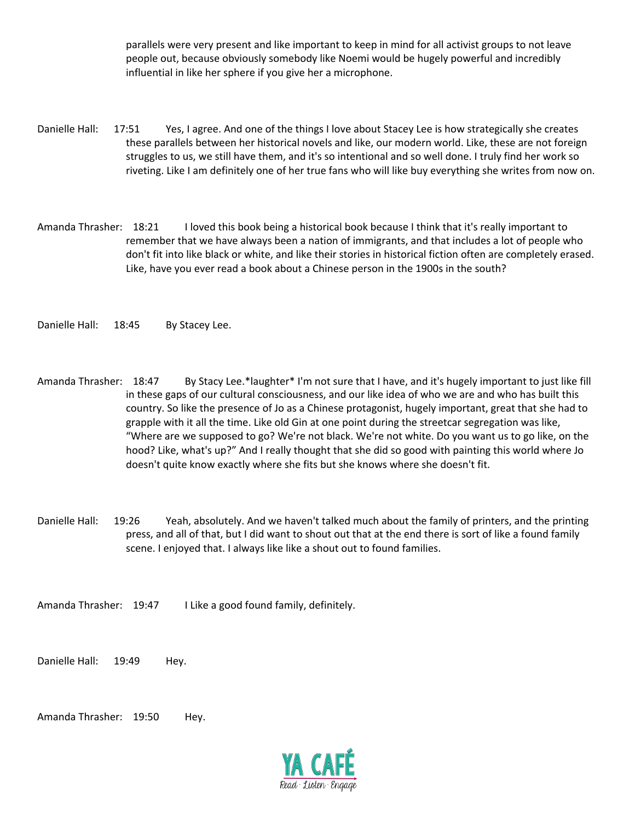parallels were very present and like important to keep in mind for all activist groups to not leave people out, because obviously somebody like Noemi would be hugely powerful and incredibly influential in like her sphere if you give her a microphone.

- Danielle Hall: 17:51 Yes, I agree. And one of the things I love about Stacey Lee is how strategically she creates these parallels between her historical novels and like, our modern world. Like, these are not foreign struggles to us, we still have them, and it's so intentional and so well done. I truly find her work so riveting. Like I am definitely one of her true fans who will like buy everything she writes from now on.
- Amanda Thrasher: 18:21 I loved this book being a historical book because I think that it's really important to remember that we have always been a nation of immigrants, and that includes a lot of people who don't fit into like black or white, and like their stories in historical fiction often are completely erased. Like, have you ever read a book about a Chinese person in the 1900s in the south?

Danielle Hall: 18:45 By Stacey Lee.

- Amanda Thrasher: 18:47 By Stacy Lee.\*laughter\* I'm not sure that I have, and it's hugely important to just like fill in these gaps of our cultural consciousness, and our like idea of who we are and who has built this country. So like the presence of Jo as a Chinese protagonist, hugely important, great that she had to grapple with it all the time. Like old Gin at one point during the streetcar segregation was like, "Where are we supposed to go? We're not black. We're not white. Do you want us to go like, on the hood? Like, what's up?" And I really thought that she did so good with painting this world where Jo doesn't quite know exactly where she fits but she knows where she doesn't fit.
- Danielle Hall: 19:26 Yeah, absolutely. And we haven't talked much about the family of printers, and the printing press, and all of that, but I did want to shout out that at the end there is sort of like a found family scene. I enjoyed that. I always like like a shout out to found families.

Amanda Thrasher: 19:47 I Like a good found family, definitely.

Danielle Hall: 19:49 Hey.

Amanda Thrasher: 19:50 Hey.

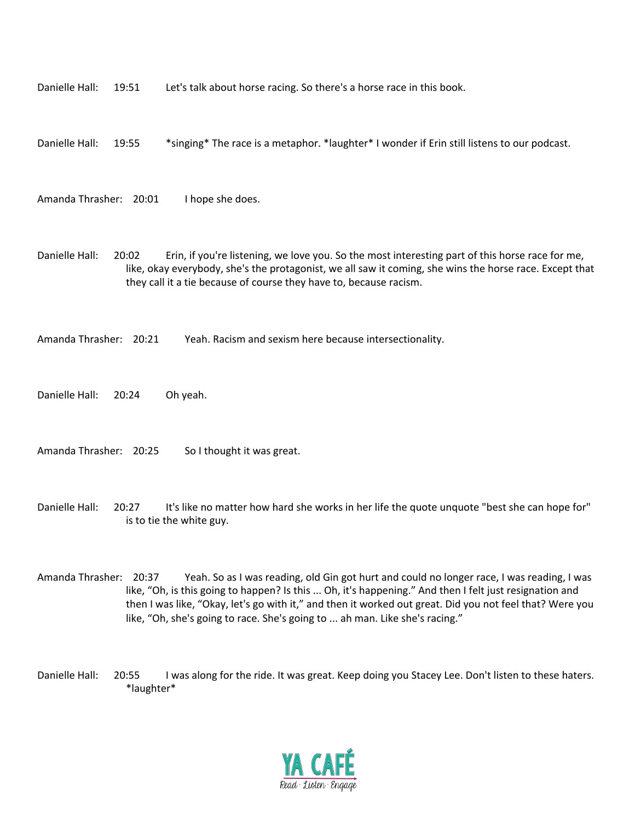| Danielle Hall:         | 19:55 | *singing* The race is a metaphor. *laughter* I wonder if Erin still listens to our podcast.                                                                                                                                                                                      |
|------------------------|-------|----------------------------------------------------------------------------------------------------------------------------------------------------------------------------------------------------------------------------------------------------------------------------------|
| Amanda Thrasher: 20:01 |       | I hope she does.                                                                                                                                                                                                                                                                 |
| Danielle Hall:         | 20:02 | Erin, if you're listening, we love you. So the most interesting part of this horse race for me,<br>like, okay everybody, she's the protagonist, we all saw it coming, she wins the horse race. Except that<br>they call it a tie because of course they have to, because racism. |

Amanda Thrasher: 20:21 Yeah. Racism and sexism here because intersectionality.

Danielle Hall: 19:51 Let's talk about horse racing. So there's a horse race in this book.

Danielle Hall: 20:24 Oh yeah.

Amanda Thrasher: 20:25 So I thought it was great.

Danielle Hall: 20:27 It's like no matter how hard she works in her life the quote unquote "best she can hope for" is to tie the white guy.

- Amanda Thrasher: 20:37 Yeah. So as I was reading, old Gin got hurt and could no longer race, I was reading, I was like, "Oh, is this going to happen? Is this ... Oh, it's happening." And then I felt just resignation and then I was like, "Okay, let's go with it," and then it worked out great. Did you not feel that? Were you like, "Oh, she's going to race. She's going to ... ah man. Like she's racing."
- Danielle Hall: 20:55 I was along for the ride. It was great. Keep doing you Stacey Lee. Don't listen to these haters. \*laughter\*